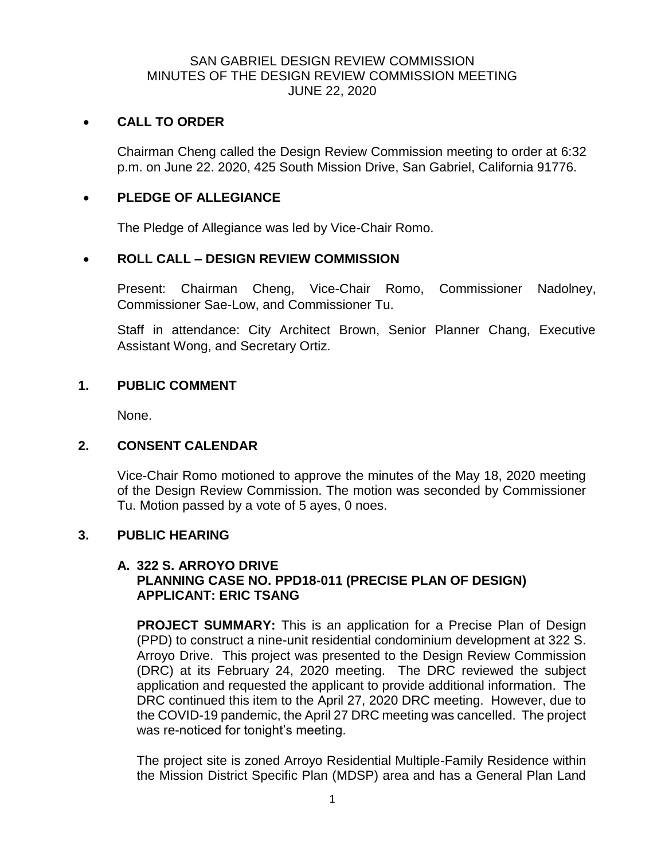## SAN GABRIEL DESIGN REVIEW COMMISSION MINUTES OF THE DESIGN REVIEW COMMISSION MEETING JUNE 22, 2020

#### **CALL TO ORDER**

Chairman Cheng called the Design Review Commission meeting to order at 6:32 p.m. on June 22. 2020, 425 South Mission Drive, San Gabriel, California 91776.

#### **PLEDGE OF ALLEGIANCE**

The Pledge of Allegiance was led by Vice-Chair Romo.

# **ROLL CALL – DESIGN REVIEW COMMISSION**

Present: Chairman Cheng, Vice-Chair Romo, Commissioner Nadolney, Commissioner Sae-Low, and Commissioner Tu.

Staff in attendance: City Architect Brown, Senior Planner Chang, Executive Assistant Wong, and Secretary Ortiz.

## **1. PUBLIC COMMENT**

None.

## **2. CONSENT CALENDAR**

Vice-Chair Romo motioned to approve the minutes of the May 18, 2020 meeting of the Design Review Commission. The motion was seconded by Commissioner Tu. Motion passed by a vote of 5 ayes, 0 noes.

#### **3. PUBLIC HEARING**

## **A. 322 S. ARROYO DRIVE PLANNING CASE NO. PPD18-011 (PRECISE PLAN OF DESIGN) APPLICANT: ERIC TSANG**

**PROJECT SUMMARY:** This is an application for a Precise Plan of Design (PPD) to construct a nine-unit residential condominium development at 322 S. Arroyo Drive. This project was presented to the Design Review Commission (DRC) at its February 24, 2020 meeting. The DRC reviewed the subject application and requested the applicant to provide additional information. The DRC continued this item to the April 27, 2020 DRC meeting. However, due to the COVID-19 pandemic, the April 27 DRC meeting was cancelled. The project was re-noticed for tonight's meeting.

The project site is zoned Arroyo Residential Multiple-Family Residence within the Mission District Specific Plan (MDSP) area and has a General Plan Land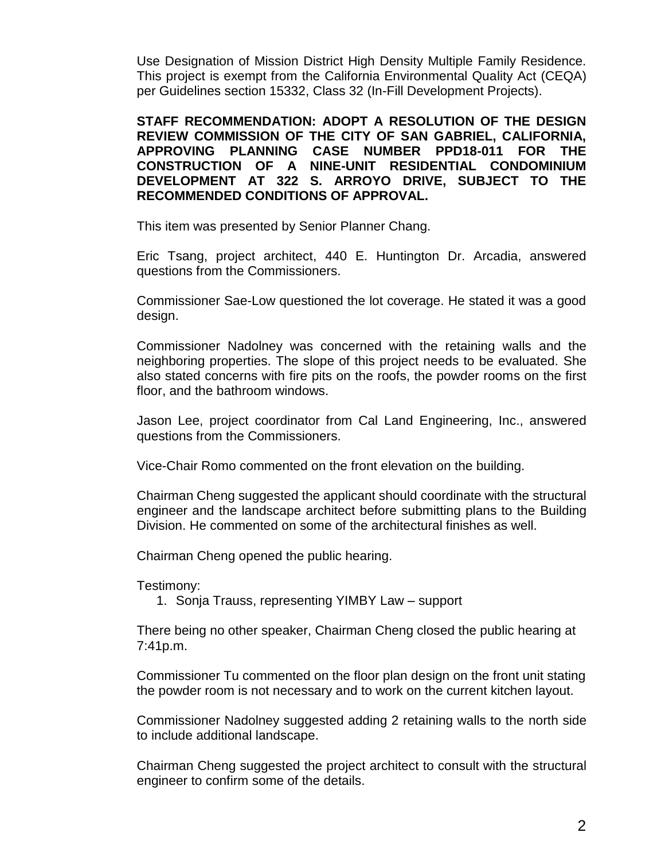Use Designation of Mission District High Density Multiple Family Residence. This project is exempt from the California Environmental Quality Act (CEQA) per Guidelines section 15332, Class 32 (In-Fill Development Projects).

**STAFF RECOMMENDATION: ADOPT A RESOLUTION OF THE DESIGN REVIEW COMMISSION OF THE CITY OF SAN GABRIEL, CALIFORNIA, APPROVING PLANNING CASE NUMBER PPD18-011 FOR THE CONSTRUCTION OF A NINE-UNIT RESIDENTIAL CONDOMINIUM DEVELOPMENT AT 322 S. ARROYO DRIVE, SUBJECT TO THE RECOMMENDED CONDITIONS OF APPROVAL.**

This item was presented by Senior Planner Chang.

Eric Tsang, project architect, 440 E. Huntington Dr. Arcadia, answered questions from the Commissioners.

Commissioner Sae-Low questioned the lot coverage. He stated it was a good design.

Commissioner Nadolney was concerned with the retaining walls and the neighboring properties. The slope of this project needs to be evaluated. She also stated concerns with fire pits on the roofs, the powder rooms on the first floor, and the bathroom windows.

Jason Lee, project coordinator from Cal Land Engineering, Inc., answered questions from the Commissioners.

Vice-Chair Romo commented on the front elevation on the building.

Chairman Cheng suggested the applicant should coordinate with the structural engineer and the landscape architect before submitting plans to the Building Division. He commented on some of the architectural finishes as well.

Chairman Cheng opened the public hearing.

Testimony:

1. Sonja Trauss, representing YIMBY Law – support

There being no other speaker, Chairman Cheng closed the public hearing at 7:41p.m.

Commissioner Tu commented on the floor plan design on the front unit stating the powder room is not necessary and to work on the current kitchen layout.

Commissioner Nadolney suggested adding 2 retaining walls to the north side to include additional landscape.

Chairman Cheng suggested the project architect to consult with the structural engineer to confirm some of the details.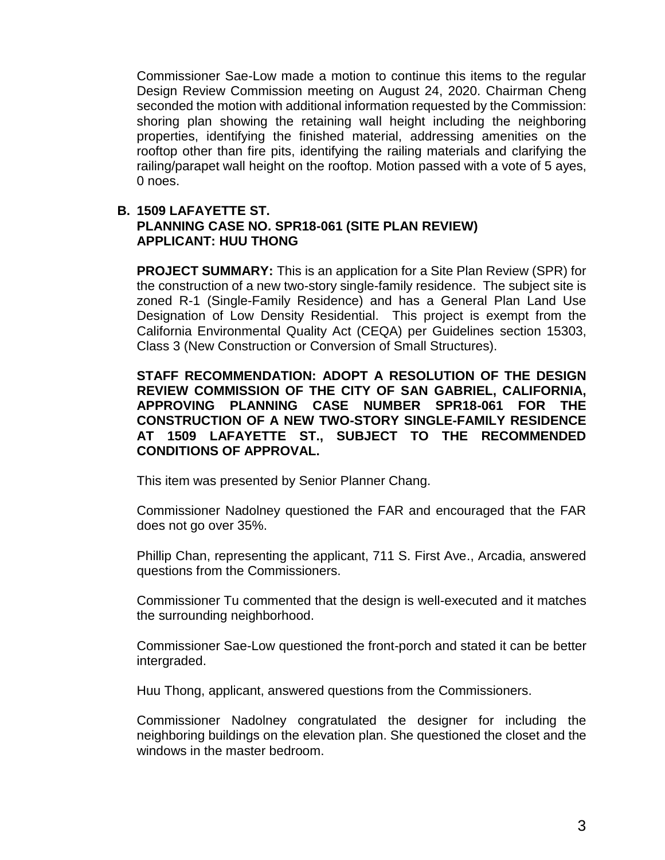Commissioner Sae-Low made a motion to continue this items to the regular Design Review Commission meeting on August 24, 2020. Chairman Cheng seconded the motion with additional information requested by the Commission: shoring plan showing the retaining wall height including the neighboring properties, identifying the finished material, addressing amenities on the rooftop other than fire pits, identifying the railing materials and clarifying the railing/parapet wall height on the rooftop. Motion passed with a vote of 5 ayes, 0 noes.

## **B. 1509 LAFAYETTE ST. PLANNING CASE NO. SPR18-061 (SITE PLAN REVIEW) APPLICANT: HUU THONG**

**PROJECT SUMMARY:** This is an application for a Site Plan Review (SPR) for the construction of a new two-story single-family residence. The subject site is zoned R-1 (Single-Family Residence) and has a General Plan Land Use Designation of Low Density Residential. This project is exempt from the California Environmental Quality Act (CEQA) per Guidelines section 15303, Class 3 (New Construction or Conversion of Small Structures).

**STAFF RECOMMENDATION: ADOPT A RESOLUTION OF THE DESIGN REVIEW COMMISSION OF THE CITY OF SAN GABRIEL, CALIFORNIA, APPROVING PLANNING CASE NUMBER SPR18-061 FOR THE CONSTRUCTION OF A NEW TWO-STORY SINGLE-FAMILY RESIDENCE AT 1509 LAFAYETTE ST., SUBJECT TO THE RECOMMENDED CONDITIONS OF APPROVAL.**

This item was presented by Senior Planner Chang.

Commissioner Nadolney questioned the FAR and encouraged that the FAR does not go over 35%.

Phillip Chan, representing the applicant, 711 S. First Ave., Arcadia, answered questions from the Commissioners.

Commissioner Tu commented that the design is well-executed and it matches the surrounding neighborhood.

Commissioner Sae-Low questioned the front-porch and stated it can be better intergraded.

Huu Thong, applicant, answered questions from the Commissioners.

Commissioner Nadolney congratulated the designer for including the neighboring buildings on the elevation plan. She questioned the closet and the windows in the master bedroom.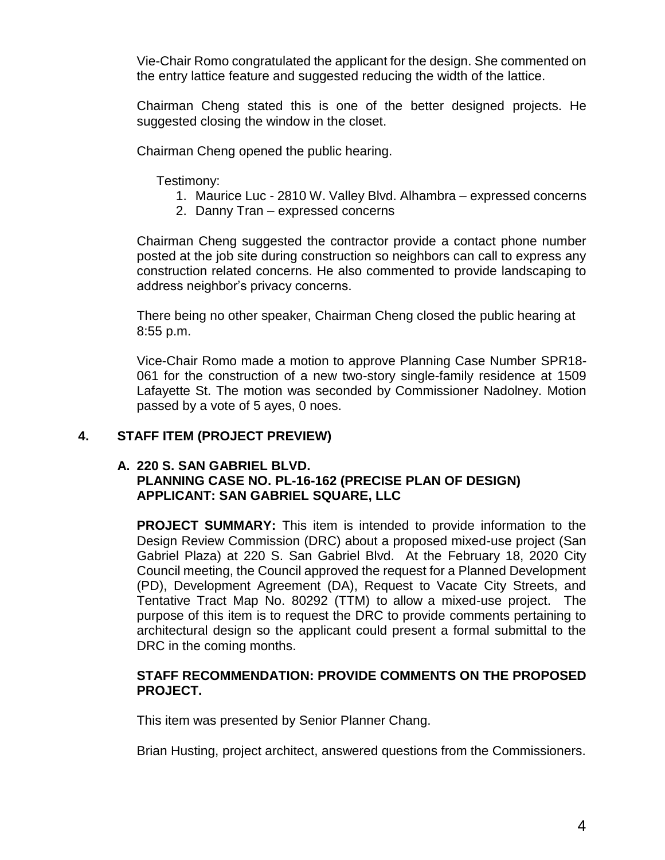Vie-Chair Romo congratulated the applicant for the design. She commented on the entry lattice feature and suggested reducing the width of the lattice.

Chairman Cheng stated this is one of the better designed projects. He suggested closing the window in the closet.

Chairman Cheng opened the public hearing.

Testimony:

- 1. Maurice Luc 2810 W. Valley Blvd. Alhambra expressed concerns
- 2. Danny Tran expressed concerns

Chairman Cheng suggested the contractor provide a contact phone number posted at the job site during construction so neighbors can call to express any construction related concerns. He also commented to provide landscaping to address neighbor's privacy concerns.

There being no other speaker, Chairman Cheng closed the public hearing at 8:55 p.m.

Vice-Chair Romo made a motion to approve Planning Case Number SPR18- 061 for the construction of a new two-story single-family residence at 1509 Lafayette St. The motion was seconded by Commissioner Nadolney. Motion passed by a vote of 5 ayes, 0 noes.

## **4. STAFF ITEM (PROJECT PREVIEW)**

## **A. 220 S. SAN GABRIEL BLVD. PLANNING CASE NO. PL-16-162 (PRECISE PLAN OF DESIGN) APPLICANT: SAN GABRIEL SQUARE, LLC**

**PROJECT SUMMARY:** This item is intended to provide information to the Design Review Commission (DRC) about a proposed mixed-use project (San Gabriel Plaza) at 220 S. San Gabriel Blvd. At the February 18, 2020 City Council meeting, the Council approved the request for a Planned Development (PD), Development Agreement (DA), Request to Vacate City Streets, and Tentative Tract Map No. 80292 (TTM) to allow a mixed-use project. The purpose of this item is to request the DRC to provide comments pertaining to architectural design so the applicant could present a formal submittal to the DRC in the coming months.

## **STAFF RECOMMENDATION: PROVIDE COMMENTS ON THE PROPOSED PROJECT.**

This item was presented by Senior Planner Chang.

Brian Husting, project architect, answered questions from the Commissioners.